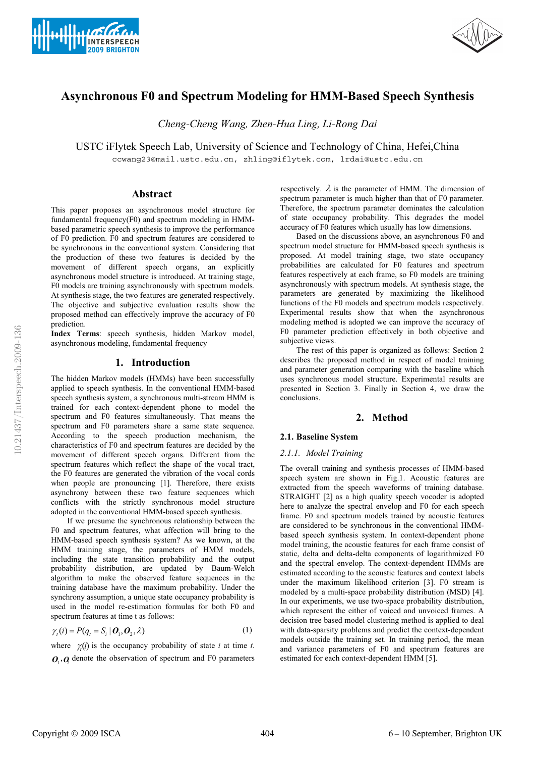



# **Asynchronous F0 and Spectrum Modeling for HMM-Based Speech Synthesis**

*Cheng-Cheng Wang, Zhen-Hua Ling, Li-Rong Dai*

USTC iFlytek Speech Lab, University of Science and Technology of China, Hefei,China

ccwang23@mail.ustc.edu.cn, zhling@iflytek.com, lrdai@ustc.edu.cn

## **Abstract**

This paper proposes an asynchronous model structure for fundamental frequency(F0) and spectrum modeling in HMMbased parametric speech synthesis to improve the performance of F0 prediction. F0 and spectrum features are considered to be synchronous in the conventional system. Considering that the production of these two features is decided by the movement of different speech organs, an explicitly asynchronous model structure is introduced. At training stage, F0 models are training asynchronously with spectrum models. At synthesis stage, the two features are generated respectively. The objective and subjective evaluation results show the proposed method can effectively improve the accuracy of F0 prediction.

**Index Terms**: speech synthesis, hidden Markov model, asynchronous modeling, fundamental frequency

# **1. Introduction**

The hidden Markov models (HMMs) have been successfully applied to speech synthesis. In the conventional HMM-based speech synthesis system, a synchronous multi-stream HMM is trained for each context-dependent phone to model the spectrum and F0 features simultaneously. That means the spectrum and F0 parameters share a same state sequence. According to the speech production mechanism, the characteristics of F0 and spectrum features are decided by the movement of different speech organs. Different from the spectrum features which reflect the shape of the vocal tract, the F0 features are generated the vibration of the vocal cords when people are pronouncing [1]. Therefore, there exists asynchrony between these two feature sequences which conflicts with the strictly synchronous model structure adopted in the conventional HMM-based speech synthesis.

If we presume the synchronous relationship between the F0 and spectrum features, what affection will bring to the HMM-based speech synthesis system? As we known, at the HMM training stage, the parameters of HMM models, including the state transition probability and the output probability distribution, are updated by Baum-Welch algorithm to make the observed feature sequences in the training database have the maximum probability. Under the synchrony assumption, a unique state occupancy probability is used in the model re-estimation formulas for both F0 and spectrum features at time t as follows:

$$
\gamma_i(i) = P(q_i = S_i \mid \boldsymbol{O}_1, \boldsymbol{O}_2, \lambda) \tag{1}
$$

where  $\gamma_i(i)$  is the occupancy probability of state *i* at time *t*.  $Q_1, Q_2$  denote the observation of spectrum and F0 parameters

respectively.  $\lambda$  is the parameter of HMM. The dimension of spectrum parameter is much higher than that of F0 parameter. Therefore, the spectrum parameter dominates the calculation of state occupancy probability. This degrades the model accuracy of F0 features which usually has low dimensions.

Based on the discussions above, an asynchronous F0 and spectrum model structure for HMM-based speech synthesis is proposed. At model training stage, two state occupancy probabilities are calculated for F0 features and spectrum features respectively at each frame, so F0 models are training asynchronously with spectrum models. At synthesis stage, the parameters are generated by maximizing the likelihood functions of the F0 models and spectrum models respectively. Experimental results show that when the asynchronous modeling method is adopted we can improve the accuracy of F0 parameter prediction effectively in both objective and subjective views.

The rest of this paper is organized as follows: Section 2 describes the proposed method in respect of model training and parameter generation comparing with the baseline which uses synchronous model structure. Experimental results are presented in Section 3. Finally in Section 4, we draw the conclusions.

# **2. Method**

## **2.1. Baseline System**

#### *2.1.1. Model Training*

The overall training and synthesis processes of HMM-based speech system are shown in Fig.1. Acoustic features are extracted from the speech waveforms of training database. STRAIGHT [2] as a high quality speech vocoder is adopted here to analyze the spectral envelop and F0 for each speech frame. F0 and spectrum models trained by acoustic features are considered to be synchronous in the conventional HMMbased speech synthesis system. In context-dependent phone model training, the acoustic features for each frame consist of static, delta and delta-delta components of logarithmized F0 and the spectral envelop. The context-dependent HMMs are estimated according to the acoustic features and context labels under the maximum likelihood criterion [3]. F0 stream is modeled by a multi-space probability distribution (MSD) [4]. In our experiments, we use two-space probability distribution, which represent the either of voiced and unvoiced frames. A decision tree based model clustering method is applied to deal with data-sparsity problems and predict the context-dependent models outside the training set. In training period, the mean and variance parameters of F0 and spectrum features are estimated for each context-dependent HMM [5].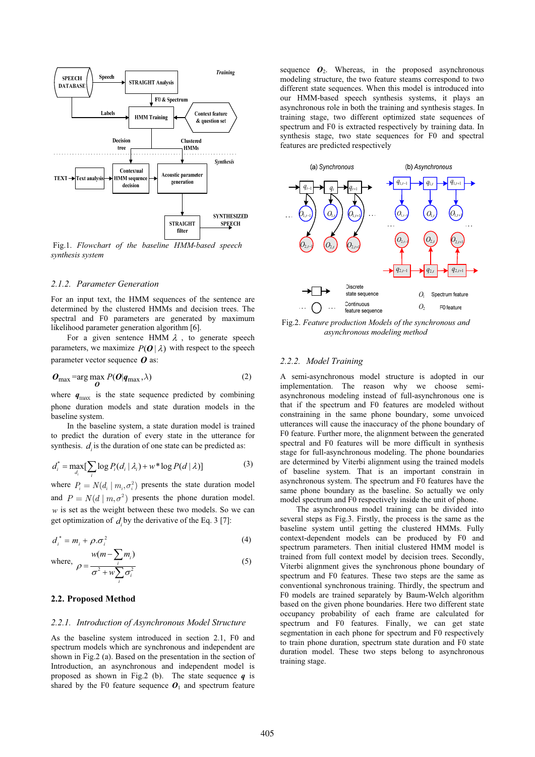

 Fig.1. *Flowchart of the baseline HMM-based speech synthesis system* 

#### *2.1.2. Parameter Generation*

For an input text, the HMM sequences of the sentence are determined by the clustered HMMs and decision trees. The spectral and F0 parameters are generated by maximum likelihood parameter generation algorithm [6].

For a given sentence HMM  $\lambda$ , to generate speech parameters, we maximize  $P(O | \lambda)$  with respect to the speech parameter vector sequence *O* as:

$$
\boldsymbol{O}_{\text{max}} = \arg \max_{\boldsymbol{O}} P(\boldsymbol{O} | \boldsymbol{q}_{\text{max}}, \lambda) \tag{2}
$$

where  $q_{\text{max}}$  is the state sequence predicted by combining phone duration models and state duration models in the baseline system.

In the baseline system, a state duration model is trained to predict the duration of every state in the utterance for synthesis.  $d$  is the duration of one state can be predicted as:

$$
d_i^* = \max_{d_i} \left[ \sum_i \log P_i(d_i \mid \lambda_i) + w^* \log P(d \mid \lambda) \right]
$$
 (3)

where  $P_i = N(d_i | m_i, \sigma_i^2)$  presents the state duration model and  $P = N(d | m, \sigma^2)$  presents the phone duration model.  $w$  is set as the weight between these two models. So we can get optimization of  $d$  by the derivative of the Eq. 3 [7]:

$$
d_i^* = m_i + \rho \cdot \sigma_i^2
$$
  

$$
w(m - \sum m_i)
$$
 (4)

where, 
$$
\rho = \frac{w(m - \sum_{i} m_{i})}{\sigma^{2} + w \sum_{i} \sigma_{i}^{2}}
$$
 (5)

#### **2.2. Proposed Method**

#### *2.2.1. Introduction of Asynchronous Model Structure*

As the baseline system introduced in section 2.1, F0 and spectrum models which are synchronous and independent are shown in Fig.2 (a). Based on the presentation in the section of Introduction, an asynchronous and independent model is proposed as shown in Fig.2 (b). The state sequence *q* is shared by the F0 feature sequence  $O_1$  and spectrum feature

sequence  $O_2$ . Whereas, in the proposed asynchronous modeling structure, the two feature steams correspond to two different state sequences. When this model is introduced into our HMM-based speech synthesis systems, it plays an asynchronous role in both the training and synthesis stages. In training stage, two different optimized state sequences of spectrum and F0 is extracted respectively by training data. In synthesis stage, two state sequences for F0 and spectral features are predicted respectively



Fig.2. *Feature production Models of the synchronous and asynchronous modeling method* 

#### *2.2.2. Model Training*

A semi-asynchronous model structure is adopted in our implementation. The reason why we choose semiasynchronous modeling instead of full-asynchronous one is that if the spectrum and F0 features are modeled without constraining in the same phone boundary, some unvoiced utterances will cause the inaccuracy of the phone boundary of F0 feature. Further more, the alignment between the generated spectral and F0 features will be more difficult in synthesis stage for full-asynchronous modeling. The phone boundaries are determined by Viterbi alignment using the trained models of baseline system. That is an important constrain in asynchronous system. The spectrum and F0 features have the same phone boundary as the baseline. So actually we only model spectrum and F0 respectively inside the unit of phone.

The asynchronous model training can be divided into several steps as Fig.3. Firstly, the process is the same as the baseline system until getting the clustered HMMs. Fully context-dependent models can be produced by F0 and spectrum parameters. Then initial clustered HMM model is trained from full context model by decision trees. Secondly, Viterbi alignment gives the synchronous phone boundary of spectrum and F0 features. These two steps are the same as conventional synchronous training. Thirdly, the spectrum and F0 models are trained separately by Baum-Welch algorithm based on the given phone boundaries. Here two different state occupancy probability of each frame are calculated for spectrum and F0 features. Finally, we can get state segmentation in each phone for spectrum and F0 respectively to train phone duration, spectrum state duration and F0 state duration model. These two steps belong to asynchronous training stage.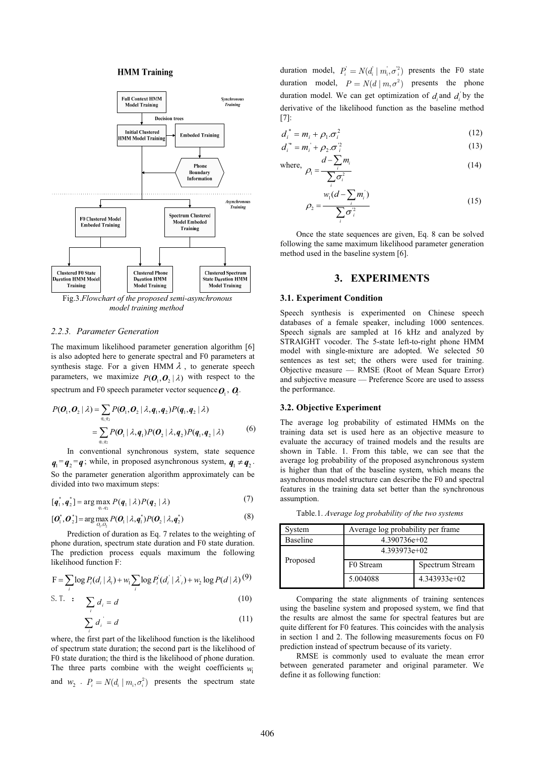#### **HMM** Training



*model training method*

#### *2.2.3. Parameter Generation*

The maximum likelihood parameter generation algorithm [6] is also adopted here to generate spectral and F0 parameters at synthesis stage. For a given HMM  $\lambda$ , to generate speech parameters, we maximize  $P(O_1, O_2 | \lambda)$  with respect to the spectrum and F0 speech parameter vector sequence  $\boldsymbol{O}_{\!\scriptscriptstyle [}$ ,  $\boldsymbol{Q}_{\!\scriptscriptstyle 2}$ .

$$
P(\boldsymbol{O}_1, \boldsymbol{O}_2 \mid \lambda) = \sum_{q_1, q_2} P(\boldsymbol{O}_1, \boldsymbol{O}_2 \mid \lambda, \boldsymbol{q}_1, \boldsymbol{q}_2) P(\boldsymbol{q}_1, \boldsymbol{q}_2 \mid \lambda)
$$
  
= 
$$
\sum_{q_1, q_2} P(\boldsymbol{O}_1 \mid \lambda, \boldsymbol{q}_1) P(\boldsymbol{O}_2 \mid \lambda, \boldsymbol{q}_2) P(\boldsymbol{q}_1, \boldsymbol{q}_2 \mid \lambda)
$$
 (6)

In conventional synchronous system, state sequence  $q_1 = q_2 = q$ ; while, in proposed asynchronous system,  $q_1 \neq q_2$ . So the parameter generation algorithm approximately can be divided into two maximum steps:

$$
[\boldsymbol{q}_1^*, \boldsymbol{q}_2^*] = \arg\max_{q_1, q_2} P(\boldsymbol{q}_1 \mid \lambda) P(\boldsymbol{q}_2 \mid \lambda) \tag{7}
$$

$$
[\boldsymbol{O}_1^*, \boldsymbol{O}_2^*] = \arg\max_{O_1, O_2} P(\boldsymbol{O}_1 | \lambda, \boldsymbol{q}_1^*) P(\boldsymbol{O}_2 | \lambda, \boldsymbol{q}_2^*)
$$
\n(8)

Prediction of duration as Eq. 7 relates to the weighting of phone duration, spectrum state duration and F0 state duration. The prediction process equals maximum the following likelihood function F:

$$
F = \sum_{i} \log P_i(d_i | \lambda_i) + w_i \sum_{i} \log P_i(d_i | \lambda_i) + w_2 \log P(d | \lambda) \tag{9}
$$

$$
\text{S. T. : } \sum_{i} d_i = d \tag{10}
$$

$$
\sum_{i} d_i = d \tag{11}
$$

where, the first part of the likelihood function is the likelihood of spectrum state duration; the second part is the likelihood of F0 state duration; the third is the likelihood of phone duration. The three parts combine with the weight coefficients  $w_1$ and  $w_2$  .  $P_i = N(d_i | m_i, \sigma_i^2)$  presents the spectrum state

duration model,  $P_i' = N(d_i' \mid m_i', \sigma_i'^2)$  presents the F0 state duration model,  $P = N(d | m, \sigma^2)$  presents the phone duration model. We can get optimization of  $d_i$  and  $d_i$  by the derivative of the likelihood function as the baseline method [7]:

$$
d_i^* = m_i + \rho_1 \sigma_i^2 \tag{12}
$$

$$
d_i^{\prime *} = m_i^{\prime} + \rho_2 \sigma_i^2 \tag{13}
$$

where, 
$$
\rho_1 = \frac{d - \sum_i m_i}{\sum \sigma_i^2}
$$
 (14)

$$
\rho_2 = \frac{w_1(d - \sum_i m_i)}{\sum_i \sigma_i^2}
$$
\n(15)

Once the state sequences are given, Eq. 8 can be solved following the same maximum likelihood parameter generation method used in the baseline system [6].

## **3. EXPERIMENTS**

#### **3.1. Experiment Condition**

Speech synthesis is experimented on Chinese speech databases of a female speaker, including 1000 sentences. Speech signals are sampled at 16 kHz and analyzed by STRAIGHT vocoder. The 5-state left-to-right phone HMM model with single-mixture are adopted. We selected 50 sentences as test set; the others were used for training. Objective measure — RMSE (Root of Mean Square Error) and subjective measure — Preference Score are used to assess the performance.

#### **3.2. Objective Experiment**

The average log probability of estimated HMMs on the training data set is used here as an objective measure to evaluate the accuracy of trained models and the results are shown in Table. 1. From this table, we can see that the average log probability of the proposed asynchronous system is higher than that of the baseline system, which means the asynchronous model structure can describe the F0 and spectral features in the training data set better than the synchronous assumption.

Table.1. *Average log probability of the two systems* 

| System          | Average log probability per frame |                 |  |
|-----------------|-----------------------------------|-----------------|--|
| <b>Baseline</b> | $4.390736e+02$                    |                 |  |
| Proposed        | $4.393973e+02$                    |                 |  |
|                 | F0 Stream                         | Spectrum Stream |  |
|                 | 5.004088                          | $4.343933e+02$  |  |

Comparing the state alignments of training sentences using the baseline system and proposed system, we find that the results are almost the same for spectral features but are quite different for F0 features. This coincides with the analysis in section 1 and 2. The following measurements focus on F0 prediction instead of spectrum because of its variety.

RMSE is commonly used to evaluate the mean error between generated parameter and original parameter. We define it as following function: